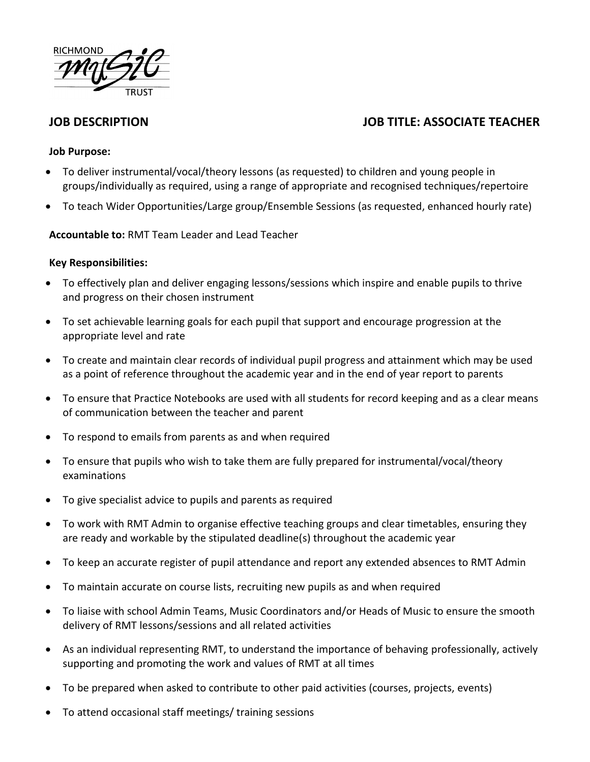

# **JOB DESCRIPTION JOB TITLE: ASSOCIATE TEACHER**

#### **Job Purpose:**

- To deliver instrumental/vocal/theory lessons (as requested) to children and young people in groups/individually as required, using a range of appropriate and recognised techniques/repertoire
- To teach Wider Opportunities/Large group/Ensemble Sessions (as requested, enhanced hourly rate)

### **Accountable to:** RMT Team Leader and Lead Teacher

#### **Key Responsibilities:**

- To effectively plan and deliver engaging lessons/sessions which inspire and enable pupils to thrive and progress on their chosen instrument
- To set achievable learning goals for each pupil that support and encourage progression at the appropriate level and rate
- To create and maintain clear records of individual pupil progress and attainment which may be used as a point of reference throughout the academic year and in the end of year report to parents
- To ensure that Practice Notebooks are used with all students for record keeping and as a clear means of communication between the teacher and parent
- To respond to emails from parents as and when required
- To ensure that pupils who wish to take them are fully prepared for instrumental/vocal/theory examinations
- To give specialist advice to pupils and parents as required
- To work with RMT Admin to organise effective teaching groups and clear timetables, ensuring they are ready and workable by the stipulated deadline(s) throughout the academic year
- To keep an accurate register of pupil attendance and report any extended absences to RMT Admin
- To maintain accurate on course lists, recruiting new pupils as and when required
- To liaise with school Admin Teams, Music Coordinators and/or Heads of Music to ensure the smooth delivery of RMT lessons/sessions and all related activities
- As an individual representing RMT, to understand the importance of behaving professionally, actively supporting and promoting the work and values of RMT at all times
- To be prepared when asked to contribute to other paid activities (courses, projects, events)
- To attend occasional staff meetings/ training sessions